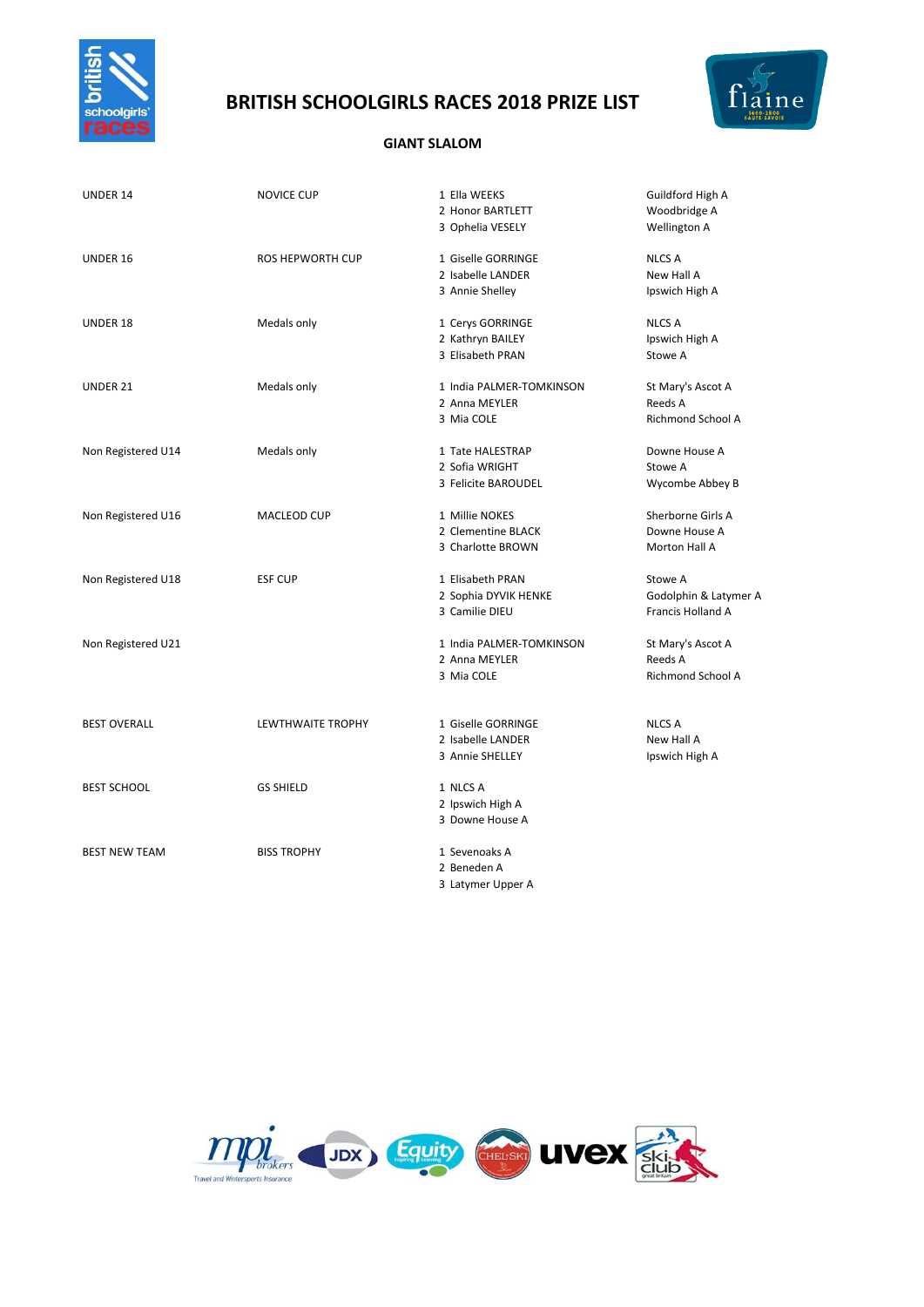

# **BRITISH SCHOOLGIRLS RACES 2018 PRIZE LIST**



### **GIANT SLALOM**

| UNDER 14             | <b>NOVICE CUP</b>        | 1 Ella WEEKS<br>2 Honor BARTLETT<br>3 Ophelia VESELY       | Guildford High A<br>Woodbridge A<br><b>Wellington A</b>      |
|----------------------|--------------------------|------------------------------------------------------------|--------------------------------------------------------------|
| UNDER 16             | <b>ROS HEPWORTH CUP</b>  | 1 Giselle GORRINGE<br>2 Isabelle LANDER<br>3 Annie Shelley | <b>NLCS A</b><br>New Hall A<br>Ipswich High A                |
| UNDER 18             | Medals only              | 1 Cerys GORRINGE<br>2 Kathryn BAILEY<br>3 Elisabeth PRAN   | <b>NLCS A</b><br>Ipswich High A<br>Stowe A                   |
| UNDER 21             | Medals only              | 1 India PALMER-TOMKINSON<br>2 Anna MEYLER<br>3 Mia COLE    | St Mary's Ascot A<br>Reeds A<br><b>Richmond School A</b>     |
| Non Registered U14   | Medals only              | 1 Tate HALESTRAP<br>2 Sofia WRIGHT<br>3 Felicite BAROUDEL  | Downe House A<br>Stowe A<br>Wycombe Abbey B                  |
| Non Registered U16   | MACLEOD CUP              | 1 Millie NOKES<br>2 Clementine BLACK<br>3 Charlotte BROWN  | Sherborne Girls A<br>Downe House A<br>Morton Hall A          |
| Non Registered U18   | <b>ESF CUP</b>           | 1 Elisabeth PRAN<br>2 Sophia DYVIK HENKE<br>3 Camilie DIEU | Stowe A<br>Godolphin & Latymer A<br><b>Francis Holland A</b> |
| Non Registered U21   |                          | 1 India PALMER-TOMKINSON<br>2 Anna MEYLER<br>3 Mia COLE    | St Mary's Ascot A<br>Reeds A<br>Richmond School A            |
| <b>BEST OVERALL</b>  | <b>LEWTHWAITE TROPHY</b> | 1 Giselle GORRINGE<br>2 Isabelle LANDER<br>3 Annie SHELLEY | <b>NLCS A</b><br>New Hall A<br>Ipswich High A                |
| <b>BEST SCHOOL</b>   | <b>GS SHIELD</b>         | 1 NLCS A<br>2 Ipswich High A<br>3 Downe House A            |                                                              |
| <b>BEST NEW TEAM</b> | <b>BISS TROPHY</b>       | 1 Sevenoaks A<br>2 Beneden A<br>3 Latymer Upper A          |                                                              |

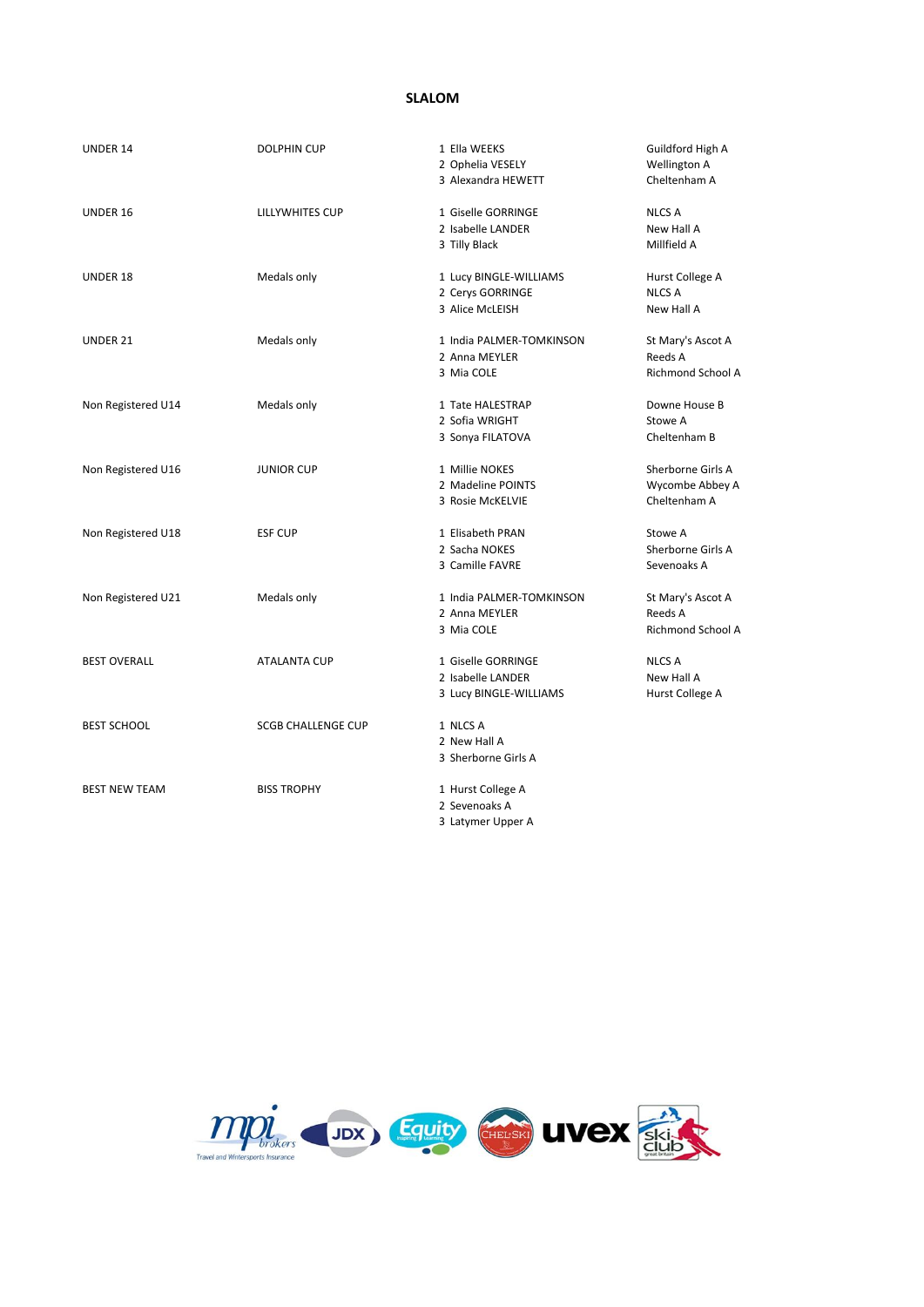# **SLALOM**

| UNDER 14             | <b>DOLPHIN CUP</b>        | 1 Ella WEEKS<br>2 Ophelia VESELY<br>3 Alexandra HEWETT            | Guildford High A<br><b>Wellington A</b><br>Cheltenham A  |
|----------------------|---------------------------|-------------------------------------------------------------------|----------------------------------------------------------|
| UNDER 16             | <b>LILLYWHITES CUP</b>    | 1 Giselle GORRINGE<br>2 Isabelle LANDER<br>3 Tilly Black          | <b>NLCS A</b><br>New Hall A<br>Millfield A               |
| UNDER 18             | Medals only               | 1 Lucy BINGLE-WILLIAMS<br>2 Cerys GORRINGE<br>3 Alice McLEISH     | Hurst College A<br><b>NLCS A</b><br>New Hall A           |
| UNDER 21             | Medals only               | 1 India PALMER-TOMKINSON<br>2 Anna MEYLER<br>3 Mia COLE           | St Mary's Ascot A<br>Reeds A<br><b>Richmond School A</b> |
| Non Registered U14   | Medals only               | 1 Tate HALESTRAP<br>2 Sofia WRIGHT<br>3 Sonya FILATOVA            | Downe House B<br>Stowe A<br>Cheltenham B                 |
| Non Registered U16   | <b>JUNIOR CUP</b>         | 1 Millie NOKES<br>2 Madeline POINTS<br>3 Rosie McKELVIE           | Sherborne Girls A<br>Wycombe Abbey A<br>Cheltenham A     |
| Non Registered U18   | <b>ESF CUP</b>            | 1 Elisabeth PRAN<br>2 Sacha NOKES<br>3 Camille FAVRE              | Stowe A<br>Sherborne Girls A<br>Sevenoaks A              |
| Non Registered U21   | Medals only               | 1 India PALMER-TOMKINSON<br>2 Anna MEYLER<br>3 Mia COLE           | St Mary's Ascot A<br>Reeds A<br>Richmond School A        |
| <b>BEST OVERALL</b>  | <b>ATALANTA CUP</b>       | 1 Giselle GORRINGE<br>2 Isabelle LANDER<br>3 Lucy BINGLE-WILLIAMS | <b>NLCS A</b><br>New Hall A<br>Hurst College A           |
| <b>BEST SCHOOL</b>   | <b>SCGB CHALLENGE CUP</b> | 1 NLCS A<br>2 New Hall A<br>3 Sherborne Girls A                   |                                                          |
| <b>BEST NEW TEAM</b> | <b>BISS TROPHY</b>        | 1 Hurst College A<br>2 Sevenoaks A<br>3 Latymer Upper A           |                                                          |

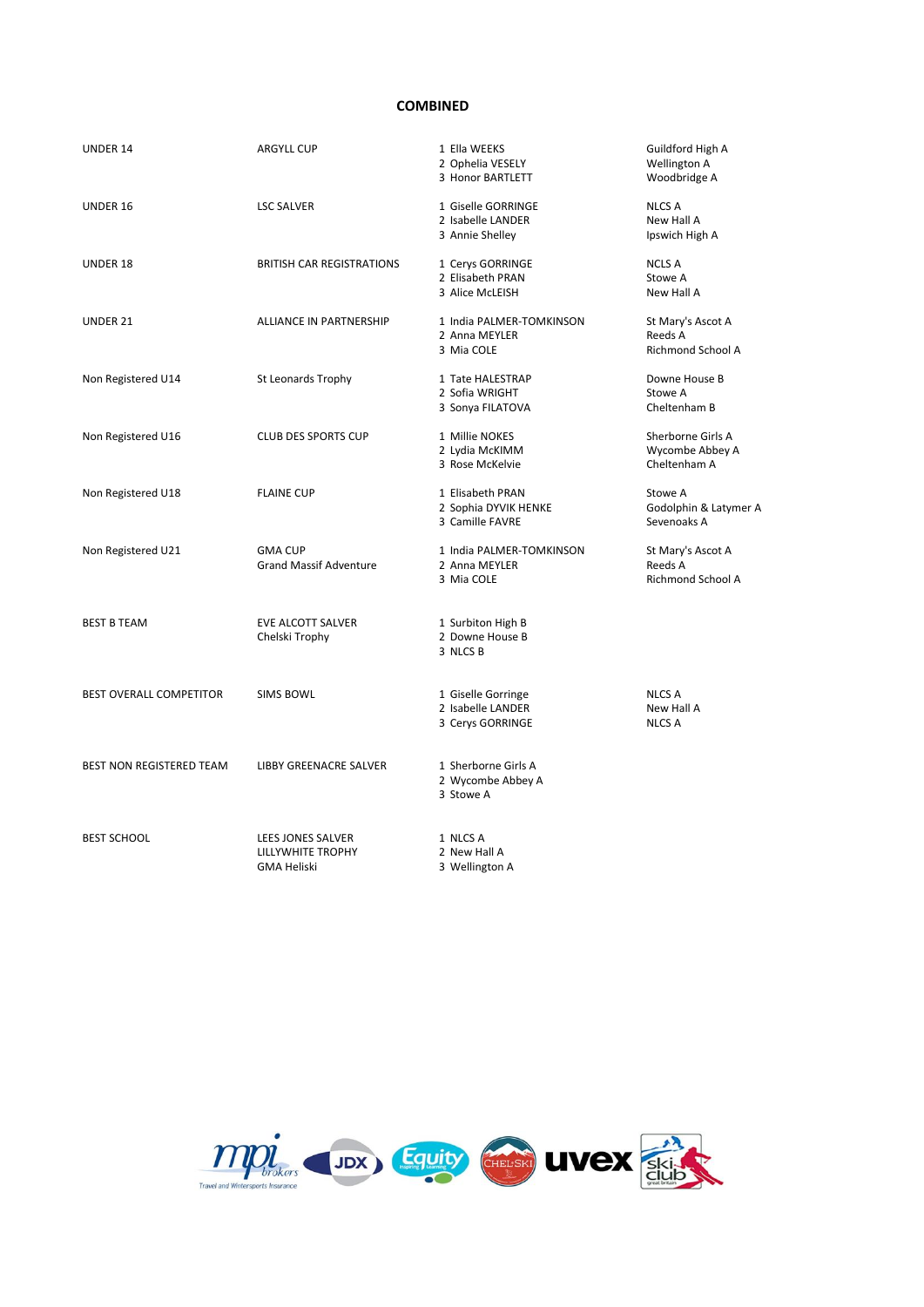#### **COMBINED**

| UNDER 14                 | <b>ARGYLL CUP</b>                                            | 1 Ella WEEKS<br>2 Ophelia VESELY<br>3 Honor BARTLETT        | Guildford High A<br>Wellington A<br>Woodbridge A         |
|--------------------------|--------------------------------------------------------------|-------------------------------------------------------------|----------------------------------------------------------|
| UNDER 16                 | <b>LSC SALVER</b>                                            | 1 Giselle GORRINGE<br>2 Isabelle LANDER<br>3 Annie Shelley  | <b>NLCS A</b><br>New Hall A<br>Ipswich High A            |
| UNDER 18                 | <b>BRITISH CAR REGISTRATIONS</b>                             | 1 Cerys GORRINGE<br>2 Elisabeth PRAN<br>3 Alice McLEISH     | <b>NCLS A</b><br>Stowe A<br>New Hall A                   |
| UNDER 21                 | <b>ALLIANCE IN PARTNERSHIP</b>                               | 1 India PALMER-TOMKINSON<br>2 Anna MEYLER<br>3 Mia COLE     | St Mary's Ascot A<br>Reeds A<br><b>Richmond School A</b> |
| Non Registered U14       | St Leonards Trophy                                           | 1 Tate HALESTRAP<br>2 Sofia WRIGHT<br>3 Sonya FILATOVA      | Downe House B<br>Stowe A<br>Cheltenham B                 |
| Non Registered U16       | <b>CLUB DES SPORTS CUP</b>                                   | 1 Millie NOKES<br>2 Lydia McKIMM<br>3 Rose McKelvie         | Sherborne Girls A<br>Wycombe Abbey A<br>Cheltenham A     |
| Non Registered U18       | <b>FLAINE CUP</b>                                            | 1 Elisabeth PRAN<br>2 Sophia DYVIK HENKE<br>3 Camille FAVRE | Stowe A<br>Godolphin & Latymer A<br>Sevenoaks A          |
| Non Registered U21       | <b>GMA CUP</b><br><b>Grand Massif Adventure</b>              | 1 India PALMER-TOMKINSON<br>2 Anna MEYLER<br>3 Mia COLE     | St Mary's Ascot A<br>Reeds A<br><b>Richmond School A</b> |
| <b>BEST B TEAM</b>       | EVE ALCOTT SALVER<br>Chelski Trophy                          | 1 Surbiton High B<br>2 Downe House B<br>3 NLCS B            |                                                          |
| BEST OVERALL COMPETITOR  | <b>SIMS BOWL</b>                                             | 1 Giselle Gorringe<br>2 Isabelle LANDER<br>3 Cerys GORRINGE | <b>NLCS A</b><br>New Hall A<br>NLCS A                    |
| BEST NON REGISTERED TEAM | LIBBY GREENACRE SALVER                                       | 1 Sherborne Girls A<br>2 Wycombe Abbey A<br>3 Stowe A       |                                                          |
| <b>BEST SCHOOL</b>       | LEES JONES SALVER<br>LILLYWHITE TROPHY<br><b>GMA Heliski</b> | 1 NLCS A<br>2 New Hall A<br>3 Wellington A                  |                                                          |